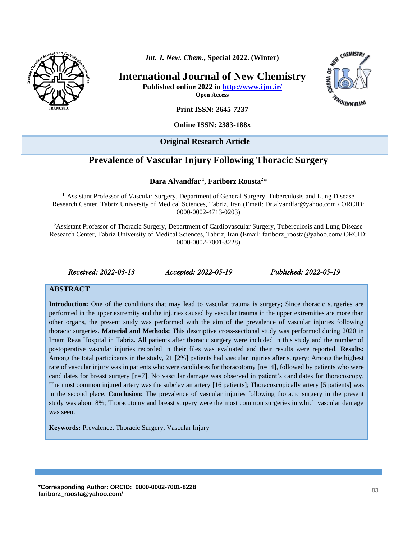

*Int. J. New. Chem.***, Special 2022. (Winter)**

**International Journal of New Chemistry**

**Published online 2022 in<http://www.ijnc.ir/>**

**Open Access**



**Print ISSN: 2645-7237**

**Online ISSN: 2383-188x** 

#### **Original Research Article**

# **Prevalence of Vascular Injury Following Thoracic Surgery**

#### **Dara Alvandfar <sup>1</sup> , [Fariborz Rousta](http://www.ijnc.ir/?_action=article&au=1722499&_au=Fariborz++Rousta)<sup>2</sup>\***

<sup>1</sup> Assistant Professor of Vascular Surgery, Department of General Surgery, Tuberculosis and Lung Disease Research Center, Tabriz University of Medical Sciences, Tabriz, Iran (Email: Dr.alvandfar@yahoo.com / ORCID: 0000-0002-4713-0203)

<sup>2</sup>Assistant Professor of Thoracic Surgery, Department of Cardiovascular Surgery, Tuberculosis and Lung Disease Research Center, Tabriz University of Medical Sciences, Tabriz, Iran (Email: fariborz\_roosta@yahoo.com/ ORCID: 0000-0002-7001-8228)

*Received: 2022-03-13 Accepted: 2022-05-19 Published: 2022-05-19* 

#### **ABSTRACT**

**Introduction:** One of the conditions that may lead to vascular trauma is surgery; Since thoracic surgeries are performed in the upper extremity and the injuries caused by vascular trauma in the upper extremities are more than other organs, the present study was performed with the aim of the prevalence of vascular injuries following thoracic surgeries. **Material and Methods:** This descriptive cross-sectional study was performed during 2020 in Imam Reza Hospital in Tabriz. All patients after thoracic surgery were included in this study and the number of postoperative vascular injuries recorded in their files was evaluated and their results were reported. **Results:** Among the total participants in the study, 21 [2%] patients had vascular injuries after surgery; Among the highest rate of vascular injury was in patients who were candidates for thoracotomy [n=14], followed by patients who were candidates for breast surgery [n=7]. No vascular damage was observed in patient's candidates for thoracoscopy. The most common injured artery was the subclavian artery [16 patients]; Thoracoscopically artery [5 patients] was in the second place. **Conclusion:** The prevalence of vascular injuries following thoracic surgery in the present study was about 8%; Thoracotomy and breast surgery were the most common surgeries in which vascular damage was seen.

**Keywords:** Prevalence, Thoracic Surgery, Vascular Injury

**\*Corresponding Author: ORCID: 0000-0002-7001-8228 fariborz\_roosta@yahoo.com/ <sup>83</sup>**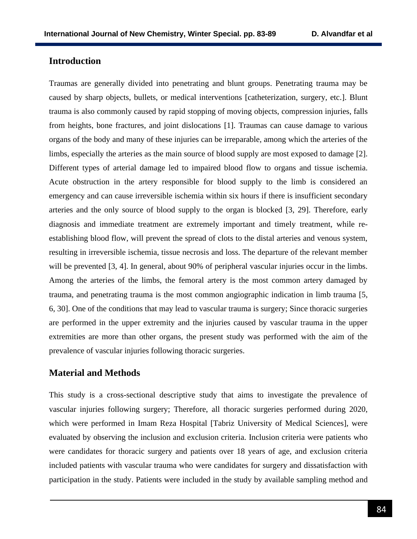# **Introduction**

Traumas are generally divided into penetrating and blunt groups. Penetrating trauma may be caused by sharp objects, bullets, or medical interventions [catheterization, surgery, etc.]. Blunt trauma is also commonly caused by rapid stopping of moving objects, compression injuries, falls from heights, bone fractures, and joint dislocations [1]. Traumas can cause damage to various organs of the body and many of these injuries can be irreparable, among which the arteries of the limbs, especially the arteries as the main source of blood supply are most exposed to damage [2]. Different types of arterial damage led to impaired blood flow to organs and tissue ischemia. Acute obstruction in the artery responsible for blood supply to the limb is considered an emergency and can cause irreversible ischemia within six hours if there is insufficient secondary arteries and the only source of blood supply to the organ is blocked [3, 29]. Therefore, early diagnosis and immediate treatment are extremely important and timely treatment, while reestablishing blood flow, will prevent the spread of clots to the distal arteries and venous system, resulting in irreversible ischemia, tissue necrosis and loss. The departure of the relevant member will be prevented [3, 4]. In general, about 90% of peripheral vascular injuries occur in the limbs. Among the arteries of the limbs, the femoral artery is the most common artery damaged by trauma, and penetrating trauma is the most common angiographic indication in limb trauma [5, 6, 30]. One of the conditions that may lead to vascular trauma is surgery; Since thoracic surgeries are performed in the upper extremity and the injuries caused by vascular trauma in the upper extremities are more than other organs, the present study was performed with the aim of the prevalence of vascular injuries following thoracic surgeries.

#### **Material and Methods**

This study is a cross-sectional descriptive study that aims to investigate the prevalence of vascular injuries following surgery; Therefore, all thoracic surgeries performed during 2020, which were performed in Imam Reza Hospital [Tabriz University of Medical Sciences], were evaluated by observing the inclusion and exclusion criteria. Inclusion criteria were patients who were candidates for thoracic surgery and patients over 18 years of age, and exclusion criteria included patients with vascular trauma who were candidates for surgery and dissatisfaction with participation in the study. Patients were included in the study by available sampling method and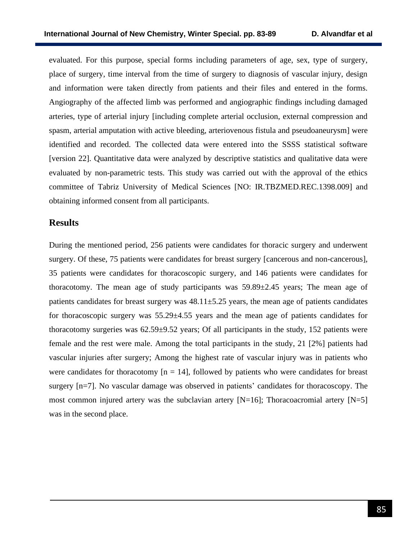evaluated. For this purpose, special forms including parameters of age, sex, type of surgery, place of surgery, time interval from the time of surgery to diagnosis of vascular injury, design and information were taken directly from patients and their files and entered in the forms. Angiography of the affected limb was performed and angiographic findings including damaged arteries, type of arterial injury [including complete arterial occlusion, external compression and spasm, arterial amputation with active bleeding, arteriovenous fistula and pseudoaneurysm] were identified and recorded. The collected data were entered into the SSSS statistical software [version 22]. Quantitative data were analyzed by descriptive statistics and qualitative data were evaluated by non-parametric tests. This study was carried out with the approval of the ethics committee of Tabriz University of Medical Sciences [NO: [IR.TBZMED.REC.1398.009\]](http://ethics.research.ac.ir/IR.TBZMED.REC.1398.009) and obtaining informed consent from all participants.

# **Results**

During the mentioned period, 256 patients were candidates for thoracic surgery and underwent surgery. Of these, 75 patients were candidates for breast surgery [cancerous and non-cancerous], 35 patients were candidates for thoracoscopic surgery, and 146 patients were candidates for thoracotomy. The mean age of study participants was 59.89±2.45 years; The mean age of patients candidates for breast surgery was  $48.11 \pm 5.25$  years, the mean age of patients candidates for thoracoscopic surgery was  $55.29 \pm 4.55$  years and the mean age of patients candidates for thoracotomy surgeries was 62.59±9.52 years; Of all participants in the study, 152 patients were female and the rest were male. Among the total participants in the study, 21 [2%] patients had vascular injuries after surgery; Among the highest rate of vascular injury was in patients who were candidates for thoracotomy  $[n = 14]$ , followed by patients who were candidates for breast surgery [n=7]. No vascular damage was observed in patients' candidates for thoracoscopy. The most common injured artery was the subclavian artery [N=16]; Thoracoacromial artery [N=5] was in the second place.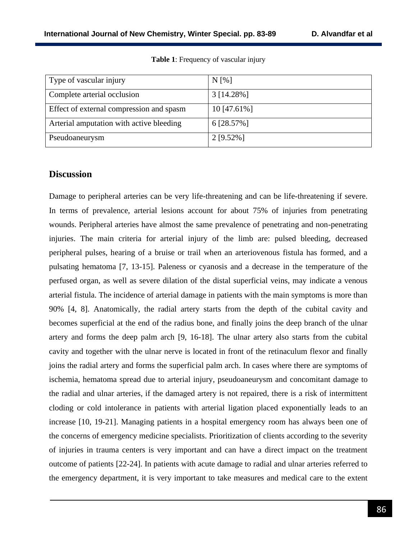| Type of vascular injury                  | $N[\%]$       |
|------------------------------------------|---------------|
| Complete arterial occlusion              | 3 [14.28%]    |
| Effect of external compression and spasm | $10$ [47.61%] |
| Arterial amputation with active bleeding | 6 [28.57%]    |
| Pseudoaneurysm                           | $2$ [9.52%]   |

**Table 1**: Frequency of vascular injury

# **Discussion**

Damage to peripheral arteries can be very life-threatening and can be life-threatening if severe. In terms of prevalence, arterial lesions account for about 75% of injuries from penetrating wounds. Peripheral arteries have almost the same prevalence of penetrating and non-penetrating injuries. The main criteria for arterial injury of the limb are: pulsed bleeding, decreased peripheral pulses, hearing of a bruise or trail when an arteriovenous fistula has formed, and a pulsating hematoma [7, 13-15]. Paleness or cyanosis and a decrease in the temperature of the perfused organ, as well as severe dilation of the distal superficial veins, may indicate a venous arterial fistula. The incidence of arterial damage in patients with the main symptoms is more than 90% [4, 8]. Anatomically, the radial artery starts from the depth of the cubital cavity and becomes superficial at the end of the radius bone, and finally joins the deep branch of the ulnar artery and forms the deep palm arch [9, 16-18]. The ulnar artery also starts from the cubital cavity and together with the ulnar nerve is located in front of the retinaculum flexor and finally joins the radial artery and forms the superficial palm arch. In cases where there are symptoms of ischemia, hematoma spread due to arterial injury, pseudoaneurysm and concomitant damage to the radial and ulnar arteries, if the damaged artery is not repaired, there is a risk of intermittent cloding or cold intolerance in patients with arterial ligation placed exponentially leads to an increase [10, 19-21]. Managing patients in a hospital emergency room has always been one of the concerns of emergency medicine specialists. Prioritization of clients according to the severity of injuries in trauma centers is very important and can have a direct impact on the treatment outcome of patients [22-24]. In patients with acute damage to radial and ulnar arteries referred to the emergency department, it is very important to take measures and medical care to the extent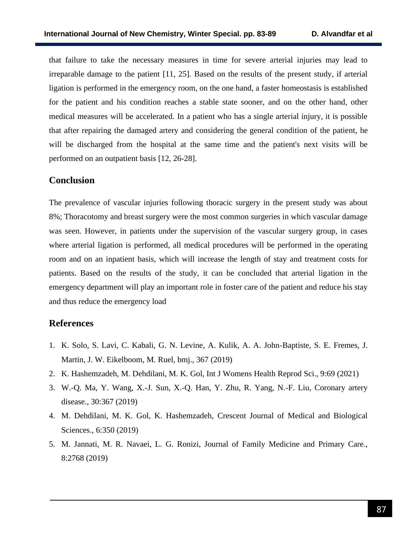that failure to take the necessary measures in time for severe arterial injuries may lead to irreparable damage to the patient [11, 25]. Based on the results of the present study, if arterial ligation is performed in the emergency room, on the one hand, a faster homeostasis is established for the patient and his condition reaches a stable state sooner, and on the other hand, other medical measures will be accelerated. In a patient who has a single arterial injury, it is possible that after repairing the damaged artery and considering the general condition of the patient, he will be discharged from the hospital at the same time and the patient's next visits will be performed on an outpatient basis [12, 26-28].

# **Conclusion**

The prevalence of vascular injuries following thoracic surgery in the present study was about 8%; Thoracotomy and breast surgery were the most common surgeries in which vascular damage was seen. However, in patients under the supervision of the vascular surgery group, in cases where arterial ligation is performed, all medical procedures will be performed in the operating room and on an inpatient basis, which will increase the length of stay and treatment costs for patients. Based on the results of the study, it can be concluded that arterial ligation in the emergency department will play an important role in foster care of the patient and reduce his stay and thus reduce the emergency load

# **References**

- 1. K. Solo, S. Lavi, C. Kabali, G. N. Levine, A. Kulik, A. A. John-Baptiste, S. E. Fremes, J. Martin, J. W. Eikelboom, M. Ruel, bmj., 367 (2019)
- 2. K. Hashemzadeh, M. Dehdilani, M. K. Gol, Int J Womens Health Reprod Sci., 9:69 (2021)
- 3. W.-Q. Ma, Y. Wang, X.-J. Sun, X.-Q. Han, Y. Zhu, R. Yang, N.-F. Liu, Coronary artery disease., 30:367 (2019)
- 4. M. Dehdilani, M. K. Gol, K. Hashemzadeh, Crescent Journal of Medical and Biological Sciences., 6:350 (2019)
- 5. M. Jannati, M. R. Navaei, L. G. Ronizi, Journal of Family Medicine and Primary Care., 8:2768 (2019)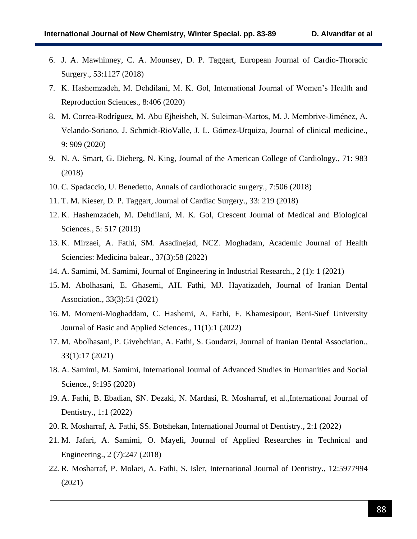- 6. J. A. Mawhinney, C. A. Mounsey, D. P. Taggart, European Journal of Cardio-Thoracic Surgery., 53:1127 (2018)
- 7. K. Hashemzadeh, M. Dehdilani, M. K. Gol, International Journal of Women's Health and Reproduction Sciences., 8:406 (2020)
- 8. M. Correa-Rodríguez, M. Abu Ejheisheh, N. Suleiman-Martos, M. J. Membrive-Jiménez, A. Velando-Soriano, J. Schmidt-RioValle, J. L. Gómez-Urquiza, Journal of clinical medicine., 9: 909 (2020)
- 9. N. A. Smart, G. Dieberg, N. King, Journal of the American College of Cardiology., 71: 983 (2018)
- 10. C. Spadaccio, U. Benedetto, Annals of cardiothoracic surgery., 7:506 (2018)
- 11. T. M. Kieser, D. P. Taggart, Journal of Cardiac Surgery., 33: 219 (2018)
- 12. K. Hashemzadeh, M. Dehdilani, M. K. Gol, Crescent Journal of Medical and Biological Sciences., 5: 517 (2019)
- 13. K. Mirzaei, A. Fathi, SM. Asadinejad, NCZ. Moghadam, Academic Journal of Health Sciencies: Medicina balear., 37(3):58 (2022)
- 14. A. Samimi, M. Samimi, Journal of Engineering in Industrial Research., 2 (1): 1 (2021)
- 15. M. Abolhasani, E. Ghasemi, AH. Fathi, MJ. Hayatizadeh, Journal of Iranian Dental Association., 33(3):51 (2021)
- 16. M. Momeni-Moghaddam, C. Hashemi, A. Fathi, F. Khamesipour, Beni-Suef University Journal of Basic and Applied Sciences., 11(1):1 (2022)
- 17. M. Abolhasani, P. Givehchian, A. Fathi, S. Goudarzi, Journal of Iranian Dental Association., 33(1):17 (2021)
- 18. A. Samimi, M. Samimi, International Journal of Advanced Studies in Humanities and Social Science., 9:195 (2020)
- 19. A. Fathi, B. Ebadian, SN. Dezaki, N. Mardasi, R. Mosharraf, et al.,International Journal of Dentistry., 1:1 (2022)
- 20. R. Mosharraf, A. Fathi, SS. Botshekan, International Journal of Dentistry., 2:1 (2022)
- 21. M. Jafari, A. Samimi, O. Mayeli, Journal of Applied Researches in Technical and Engineering., 2 (7):247 (2018)
- 22. R. Mosharraf, P. Molaei, A. Fathi, S. Isler, International Journal of Dentistry., 12:5977994 (2021)